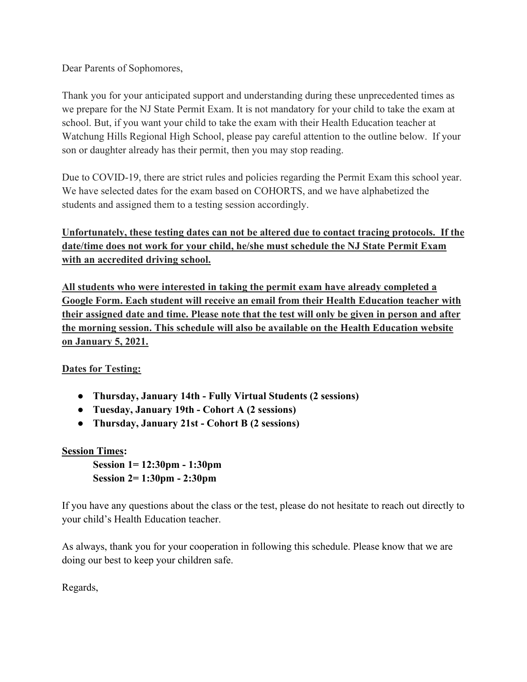Dear Parents of Sophomores,

Thank you for your anticipated support and understanding during these unprecedented times as we prepare for the NJ State Permit Exam. It is not mandatory for your child to take the exam at school. But, if you want your child to take the exam with their Health Education teacher at Watchung Hills Regional High School, please pay careful attention to the outline below. If your son or daughter already has their permit, then you may stop reading.

Due to COVID-19, there are strict rules and policies regarding the Permit Exam this school year. We have selected dates for the exam based on COHORTS, and we have alphabetized the students and assigned them to a testing session accordingly.

**Unfortunately, these testing dates can not be altered due to contact tracing protocols. If the date/time does not work for your child, he/she must schedule the NJ State Permit Exam with an accredited driving school.**

**All students who were interested in taking the permit exam have already completed a Google Form. Each student will receive an email from their Health Education teacher with their assigned date and time. Please note that the test will only be given in person and after the morning session. This schedule will also be available on the Health Education website on January 5, 2021.** 

## **Dates for Testing:**

- **Thursday, January 14th - Fully Virtual Students (2 sessions)**
- **Tuesday, January 19th - Cohort A (2 sessions)**
- **Thursday, January 21st - Cohort B (2 sessions)**

## **Session Times:**

**Session 1= 12:30pm - 1:30pm Session 2= 1:30pm - 2:30pm**

If you have any questions about the class or the test, please do not hesitate to reach out directly to your child's Health Education teacher.

As always, thank you for your cooperation in following this schedule. Please know that we are doing our best to keep your children safe.

Regards,